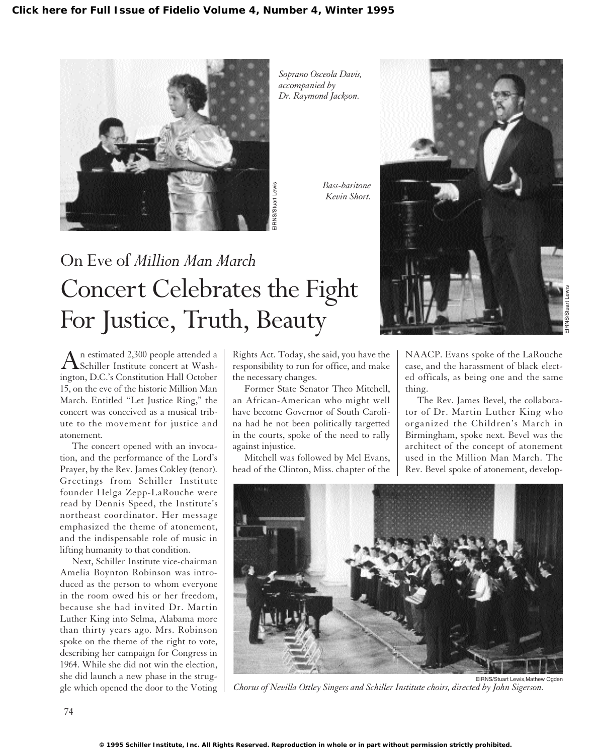

*Soprano Osceola Davis, accompanied by Dr. Raymond Jackson.* 

*Bass-baritone Kevin Short.*

## On Eve of *Million Man March* Concert Celebrates the Fight For Justice, Truth, Beauty

An estimated 2,300 people attended a<br>Schiller Institute concert at Washington, D.C.'s Constitution Hall October 15, on the eve of the historic Million Man March. Entitled "Let Justice Ring," the concert was conceived as a musical tribute to the movement for justice and atonement.

The concert opened with an invocation, and the performance of the Lord's Prayer, by the Rev. James Cokley (tenor). Greetings from Schiller Institute founder Helga Zepp-LaRouche were read by Dennis Speed, the Institute's northeast coordinator. Her message emphasized the theme of atonement, and the indispensable role of music in lifting humanity to that condition.

Next, Schiller Institute vice-chairman Amelia Boynton Robinson was introduced as the person to whom everyone in the room owed his or her freedom, because she had invited Dr. Martin Luther King into Selma, Alabama more than thirty years ago. Mrs. Robinson spoke on the theme of the right to vote, describing her campaign for Congress in 1964. While she did not win the election, she did launch a new phase in the struggle which opened the door to the Voting

Rights Act. Today, she said, you have the responsibility to run for office, and make the necessary changes.

Former State Senator Theo Mitchell, an African-American who might well have become Governor of South Carolina had he not been politically targetted in the courts, spoke of the need to rally against injustice.

Mitchell was followed by Mel Evans, head of the Clinton, Miss. chapter of the



NAACP. Evans spoke of the LaRouche case, and the harassment of black elected officals, as being one and the same thing.

The Rev. James Bevel, the collaborator of Dr. Martin Luther King who organized the Children's March in Birmingham, spoke next. Bevel was the architect of the concept of atonement used in the Million Man March. The Rev. Bevel spoke of atonement, develop-



*Chorus of Nevilla Ottley Singers and Schiller Institute choirs, directed by John Sigerson.*